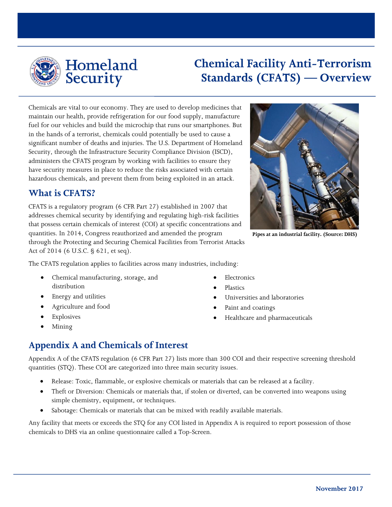

# **Chemical Facility Anti-Terrorism Standards (CFATS) — Overview**

Chemicals are vital to our economy. They are used to develop medicines that maintain our health, provide refrigeration for our food supply, manufacture fuel for our vehicles and build the microchip that runs our smartphones. But in the hands of a terrorist, chemicals could potentially be used to cause a significant number of deaths and injuries. The U.S. Department of Homeland Security, through the Infrastructure Security Compliance Division (ISCD), administers the CFATS program by working with facilities to ensure they have security measures in place to reduce the risks associated with certain hazardous chemicals, and prevent them from being exploited in an attack.

## **What is CFATS?**

CFATS is a regulatory program (6 CFR Part 27) established in 2007 that addresses chemical security by identifying and regulating high-risk facilities that possess certain chemicals of interest (COI) at specific concentrations and quantities. In 2014, Congress reauthorized and amended the program through the Protecting and Securing Chemical Facilities from Terrorist Attacks Act of 2014 (6 U.S.C. § 621, et seq).



**Pipes at an industrial facility. (Source: DHS)**

The CFATS regulation applies to facilities across many industries, including:

- Chemical manufacturing, storage, and distribution
- Energy and utilities
- Agriculture and food
- Explosives
- Mining
- Electronics
- Plastics
- Universities and laboratories
- Paint and coatings
- Healthcare and pharmaceuticals

# **Appendix A and Chemicals of Interest**

Appendix A of the CFATS regulation (6 CFR Part 27) lists more than 300 COI and their respective screening threshold quantities (STQ). These COI are categorized into three main security issues.

- Release: Toxic, flammable, or explosive chemicals or materials that can be released at a facility.
- Theft or Diversion: Chemicals or materials that, if stolen or diverted, can be converted into weapons using simple chemistry, equipment, or techniques.
- Sabotage: Chemicals or materials that can be mixed with readily available materials.

Any facility that meets or exceeds the STQ for any COI listed in Appendix A is required to report possession of those chemicals to DHS via an online questionnaire called a Top-Screen.